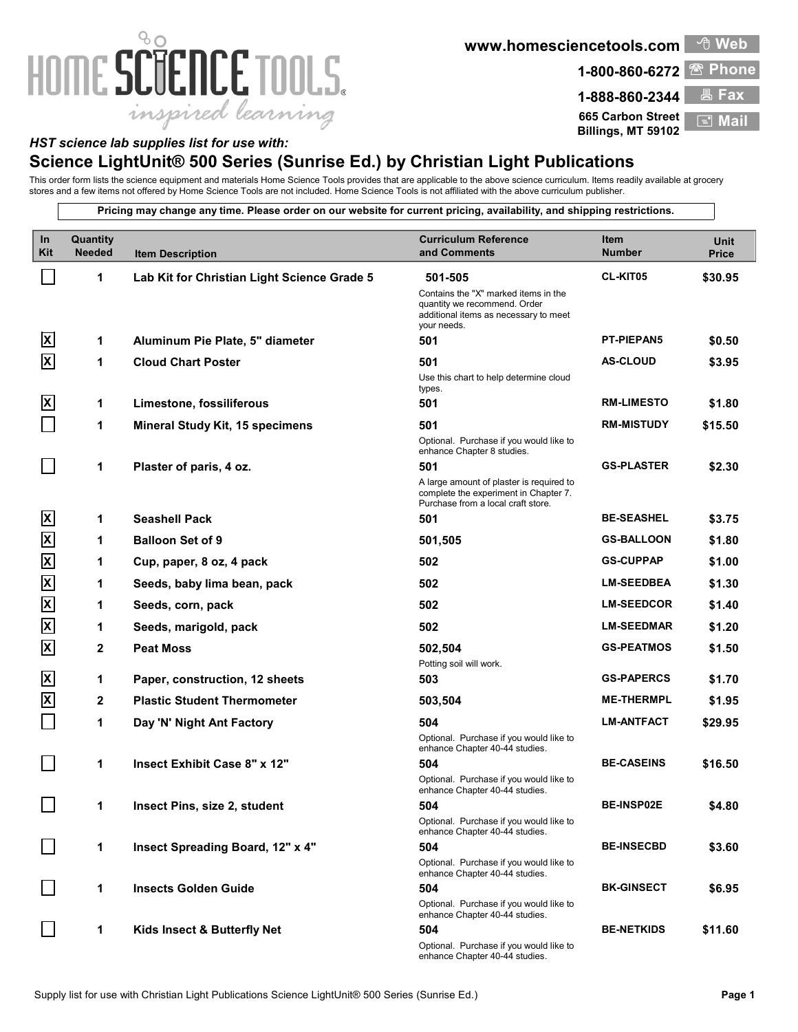## 80 HOME SCIENCE TOOLS. inspired learning

**www.homesciencetools.com**

**1-800-860-6272 Phone** 

**665 Carbon Street**

**Billings, MT 59102**

**1-888-860-2344 Fax E**I Ma

<sup>①</sup> Web

## *HST science lab supplies list for use with:*

## **Science LightUnit® 500 Series (Sunrise Ed.) by Christian Light Publications**

This order form lists the science equipment and materials Home Science Tools provides that are applicable to the above science curriculum. Items readily available at grocery stores and a few items not offered by Home Science Tools are not included. Home Science Tools is not affiliated with the above curriculum publisher.

**Pricing may change any time. Please order on our website for current pricing, availability, and shipping restrictions.**

| In<br>Kit                 | Quantity<br><b>Needed</b> | <b>Item Description</b>                     | <b>Curriculum Reference</b><br>and Comments                                                                                  | Item<br><b>Number</b> | Unit<br><b>Price</b> |
|---------------------------|---------------------------|---------------------------------------------|------------------------------------------------------------------------------------------------------------------------------|-----------------------|----------------------|
|                           | 1                         | Lab Kit for Christian Light Science Grade 5 | 501-505                                                                                                                      | <b>CL-KIT05</b>       | \$30.95              |
|                           |                           |                                             | Contains the "X" marked items in the<br>quantity we recommend. Order<br>additional items as necessary to meet<br>your needs. |                       |                      |
| ΙxΙ                       | 1                         | Aluminum Pie Plate, 5" diameter             | 501                                                                                                                          | <b>PT-PIEPAN5</b>     | \$0.50               |
| ΙX                        | 1                         | <b>Cloud Chart Poster</b>                   | 501                                                                                                                          | <b>AS-CLOUD</b>       | \$3.95               |
|                           |                           |                                             | Use this chart to help determine cloud<br>types.                                                                             |                       |                      |
| $\boldsymbol{\mathsf{x}}$ | 1                         | Limestone, fossiliferous                    | 501                                                                                                                          | <b>RM-LIMESTO</b>     | \$1.80               |
|                           | 1                         | Mineral Study Kit, 15 specimens             | 501                                                                                                                          | <b>RM-MISTUDY</b>     | \$15.50              |
|                           |                           |                                             | Optional. Purchase if you would like to<br>enhance Chapter 8 studies.                                                        |                       |                      |
|                           | 1                         | Plaster of paris, 4 oz.                     | 501                                                                                                                          | <b>GS-PLASTER</b>     | \$2.30               |
|                           |                           |                                             | A large amount of plaster is required to<br>complete the experiment in Chapter 7.<br>Purchase from a local craft store.      |                       |                      |
| ΙxΙ                       | 1                         | <b>Seashell Pack</b>                        | 501                                                                                                                          | <b>BE-SEASHEL</b>     | \$3.75               |
| $\boldsymbol{\mathsf{X}}$ | 1                         | <b>Balloon Set of 9</b>                     | 501,505                                                                                                                      | <b>GS-BALLOON</b>     | \$1.80               |
| $\overline{\mathsf{x}}$   | 1                         | Cup, paper, 8 oz, 4 pack                    | 502                                                                                                                          | <b>GS-CUPPAP</b>      | \$1.00               |
| $\overline{\mathsf{x}}$   | 1                         | Seeds, baby lima bean, pack                 | 502                                                                                                                          | <b>LM-SEEDBEA</b>     | \$1.30               |
| $\overline{\mathsf{X}}$   | 1                         | Seeds, corn, pack                           | 502                                                                                                                          | <b>LM-SEEDCOR</b>     | \$1.40               |
| $\overline{\mathsf{x}}$   | 1                         | Seeds, marigold, pack                       | 502                                                                                                                          | <b>LM-SEEDMAR</b>     | \$1.20               |
| $\vert x \vert$           | $\mathbf{2}$              | <b>Peat Moss</b>                            | 502,504                                                                                                                      | <b>GS-PEATMOS</b>     | \$1.50               |
|                           |                           |                                             | Potting soil will work.                                                                                                      |                       |                      |
| ΙxΙ                       | 1                         | Paper, construction, 12 sheets              | 503                                                                                                                          | <b>GS-PAPERCS</b>     | \$1.70               |
| $\mathbf{x}$              | $\mathbf{2}$              | <b>Plastic Student Thermometer</b>          | 503,504                                                                                                                      | <b>ME-THERMPL</b>     | \$1.95               |
|                           | 1                         | Day 'N' Night Ant Factory                   | 504                                                                                                                          | <b>LM-ANTFACT</b>     | \$29.95              |
|                           |                           |                                             | Optional. Purchase if you would like to<br>enhance Chapter 40-44 studies.                                                    |                       |                      |
|                           | 1                         | Insect Exhibit Case 8" x 12"                | 504                                                                                                                          | <b>BE-CASEINS</b>     | \$16.50              |
|                           |                           |                                             | Optional. Purchase if you would like to<br>enhance Chapter 40-44 studies.                                                    |                       |                      |
| 7                         | 1                         | Insect Pins, size 2, student                | 504                                                                                                                          | <b>BE-INSP02E</b>     | \$4.80               |
|                           |                           |                                             | Optional. Purchase if you would like to<br>enhance Chapter 40-44 studies.                                                    |                       |                      |
|                           | 1                         | Insect Spreading Board, 12" x 4"            | 504                                                                                                                          | <b>BE-INSECBD</b>     | \$3.60               |
|                           |                           |                                             | Optional. Purchase if you would like to<br>enhance Chapter 40-44 studies.                                                    |                       |                      |
|                           | 1                         | <b>Insects Golden Guide</b>                 | 504                                                                                                                          | <b>BK-GINSECT</b>     | \$6.95               |
|                           |                           |                                             | Optional. Purchase if you would like to<br>enhance Chapter 40-44 studies.                                                    |                       |                      |
|                           | 1                         | Kids Insect & Butterfly Net                 | 504                                                                                                                          | <b>BE-NETKIDS</b>     | \$11.60              |
|                           |                           |                                             | Optional. Purchase if you would like to<br>enhance Chapter 40-44 studies.                                                    |                       |                      |